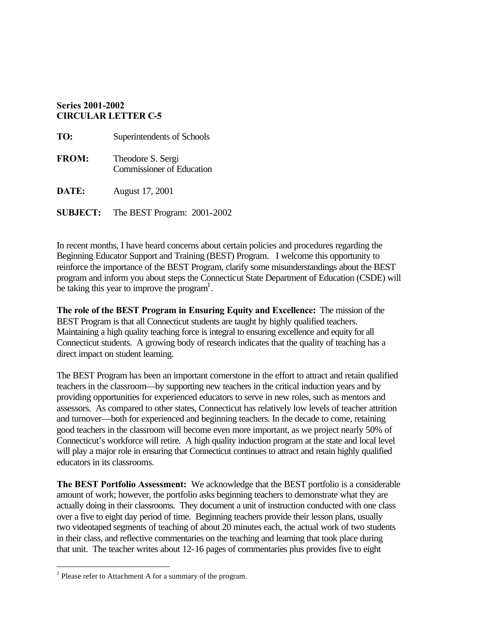#### **Series 2001-2002 CIRCULAR LETTER C-5**

| TO:             | Superintendents of Schools                            |
|-----------------|-------------------------------------------------------|
| <b>FROM:</b>    | Theodore S. Sergi<br><b>Commissioner of Education</b> |
| DATE:           | August 17, 2001                                       |
| <b>SUBJECT:</b> | The BEST Program: 2001-2002                           |

In recent months, I have heard concerns about certain policies and procedures regarding the Beginning Educator Support and Training (BEST) Program. I welcome this opportunity to reinforce the importance of the BEST Program, clarify some misunderstandings about the BEST program and inform you about steps the Connecticut State Department of Education (CSDE) will be taking this year to improve the program<sup>1</sup>.

**The role of the BEST Program in Ensuring Equity and Excellence:** The mission of the BEST Program is that all Connecticut students are taught by highly qualified teachers. Maintaining a high quality teaching force is integral to ensuring excellence and equity for all Connecticut students. A growing body of research indicates that the quality of teaching has a direct impact on student learning.

The BEST Program has been an important cornerstone in the effort to attract and retain qualified teachers in the classroom—by supporting new teachers in the critical induction years and by providing opportunities for experienced educators to serve in new roles, such as mentors and assessors. As compared to other states, Connecticut has relatively low levels of teacher attrition and turnover—both for experienced and beginning teachers. In the decade to come, retaining good teachers in the classroom will become even more important, as we project nearly 50% of Connecticut's workforce will retire. A high quality induction program at the state and local level will play a major role in ensuring that Connecticut continues to attract and retain highly qualified educators in its classrooms.

**The BEST Portfolio Assessment:** We acknowledge that the BEST portfolio is a considerable amount of work; however, the portfolio asks beginning teachers to demonstrate what they are actually doing in their classrooms. They document a unit of instruction conducted with one class over a five to eight day period of time. Beginning teachers provide their lesson plans, usually two videotaped segments of teaching of about 20 minutes each, the actual work of two students in their class, and reflective commentaries on the teaching and learning that took place during that unit. The teacher writes about 12-16 pages of commentaries plus provides five to eight

 $<sup>1</sup>$  Please refer to Attachment A for a summary of the program.</sup>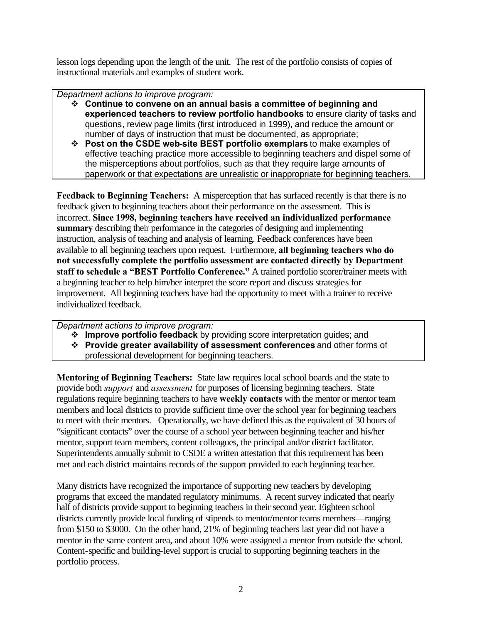lesson logs depending upon the length of the unit. The rest of the portfolio consists of copies of instructional materials and examples of student work.

*Department actions to improve program:* 

- � **Continue to convene on an annual basis a committee of beginning and experienced teachers to review portfolio handbooks** to ensure clarity of tasks and questions, review page limits (first introduced in 1999), and reduce the amount or number of days of instruction that must be documented, as appropriate;
- � **Post on the CSDE web-site BEST portfolio exemplars** to make examples of effective teaching practice more accessible to beginning teachers and dispel some of the misperceptions about portfolios, such as that they require large amounts of paperwork or that expectations are unrealistic or inappropriate for beginning teachers.

**Feedback to Beginning Teachers:** A misperception that has surfaced recently is that there is no feedback given to beginning teachers about their performance on the assessment. This is incorrect. **Since 1998, beginning teachers have received an individualized performance summary** describing their performance in the categories of designing and implementing instruction, analysis of teaching and analysis of learning. Feedback conferences have been available to all beginning teachers upon request. Furthermore, **all beginning teachers who do not successfully complete the portfolio assessment are contacted directly by Department staff to schedule a "BEST Portfolio Conference."** A trained portfolio scorer/trainer meets with a beginning teacher to help him/her interpret the score report and discuss strategies for improvement. All beginning teachers have had the opportunity to meet with a trainer to receive individualized feedback.

*Department actions to improve program:* 

- � **Improve portfolio feedback** by providing score interpretation guides; and
- � **Provide greater availability of assessment conferences** and other forms of professional development for beginning teachers.

**Mentoring of Beginning Teachers:** State law requires local school boards and the state to provide both *support* and *assessment* for purposes of licensing beginning teachers. State regulations require beginning teachers to have **weekly contacts** with the mentor or mentor team members and local districts to provide sufficient time over the school year for beginning teachers to meet with their mentors. Operationally, we have defined this as the equivalent of 30 hours of "significant contacts" over the course of a school year between beginning teacher and his/her mentor, support team members, content colleagues, the principal and/or district facilitator. Superintendents annually submit to CSDE a written attestation that this requirement has been met and each district maintains records of the support provided to each beginning teacher.

Many districts have recognized the importance of supporting new teachers by developing programs that exceed the mandated regulatory minimums. A recent survey indicated that nearly half of districts provide support to beginning teachers in their second year. Eighteen school districts currently provide local funding of stipends to mentor/mentor teams members—ranging from \$150 to \$3000. On the other hand, 21% of beginning teachers last year did not have a mentor in the same content area, and about 10% were assigned a mentor from outside the school. Content-specific and building-level support is crucial to supporting beginning teachers in the portfolio process.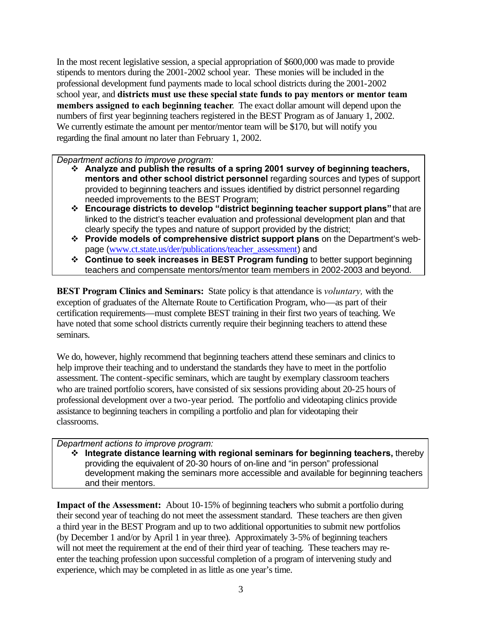In the most recent legislative session, a special appropriation of \$600,000 was made to provide stipends to mentors during the 2001-2002 school year. These monies will be included in the professional development fund payments made to local school districts during the 2001-2002 school year, and **districts must use these special state funds to pay mentors or mentor team members assigned to each beginning teacher**. The exact dollar amount will depend upon the numbers of first year beginning teachers registered in the BEST Program as of January 1, 2002. We currently estimate the amount per mentor/mentor team will be \$170, but will notify you regarding the final amount no later than February 1, 2002.

*Department actions to improve program:* 

- � **Analyze and publish the results of a spring 2001 survey of beginning teachers, mentors and other school district personnel** regarding sources and types of support provided to beginning teachers and issues identified by district personnel regarding needed improvements to the BEST Program;
- � **Encourage districts to develop "district beginning teacher support plans"** that are linked to the district's teacher evaluation and professional development plan and that clearly specify the types and nature of support provided by the district;
- � **Provide models of comprehensive district support plans** on the Department's webpage (www.ct.state.us/der/publications/teacher\_assessment) and
- � **Continue to seek increases in BEST Program funding** to better support beginning teachers and compensate mentors/mentor team members in 2002-2003 and beyond.

**BEST Program Clinics and Seminars:** State policy is that attendance is *voluntary,* with the exception of graduates of the Alternate Route to Certification Program, who—as part of their certification requirements—must complete BEST training in their first two years of teaching. We have noted that some school districts currently require their beginning teachers to attend these seminars.

We do, however, highly recommend that beginning teachers attend these seminars and clinics to help improve their teaching and to understand the standards they have to meet in the portfolio assessment. The content-specific seminars, which are taught by exemplary classroom teachers who are trained portfolio scorers, have consisted of six sessions providing about 20-25 hours of professional development over a two-year period. The portfolio and videotaping clinics provide assistance to beginning teachers in compiling a portfolio and plan for videotaping their classrooms.

#### *Department actions to improve program:*

� **Integrate distance learning with regional seminars for beginning teachers,** thereby providing the equivalent of 20-30 hours of on-line and "in person" professional development making the seminars more accessible and available for beginning teachers and their mentors.

**Impact of the Assessment:** About 10-15% of beginning teachers who submit a portfolio during their second year of teaching do not meet the assessment standard. These teachers are then given a third year in the BEST Program and up to two additional opportunities to submit new portfolios (by December 1 and/or by April 1 in year three). Approximately 3-5% of beginning teachers will not meet the requirement at the end of their third year of teaching. These teachers may reenter the teaching profession upon successful completion of a program of intervening study and experience, which may be completed in as little as one year's time.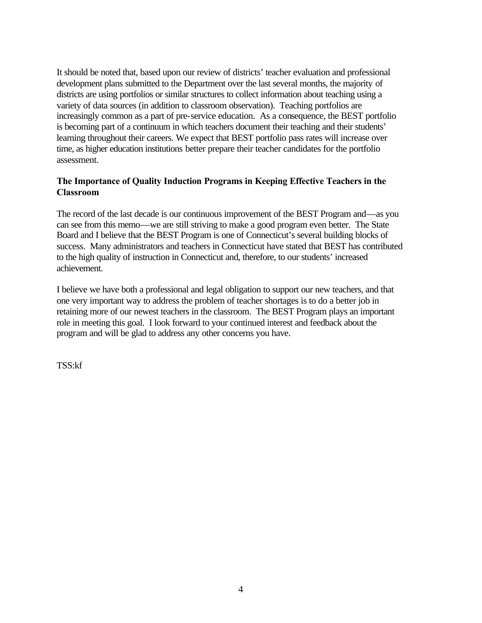It should be noted that, based upon our review of districts' teacher evaluation and professional development plans submitted to the Department over the last several months, the majority of districts are using portfolios or similar structures to collect information about teaching using a variety of data sources (in addition to classroom observation). Teaching portfolios are increasingly common as a part of pre-service education. As a consequence, the BEST portfolio is becoming part of a continuum in which teachers document their teaching and their students' learning throughout their careers. We expect that BEST portfolio pass rates will increase over time, as higher education institutions better prepare their teacher candidates for the portfolio assessment.

#### **The Importance of Quality Induction Programs in Keeping Effective Teachers in the Classroom**

The record of the last decade is our continuous improvement of the BEST Program and—as you can see from this memo—we are still striving to make a good program even better. The State Board and I believe that the BEST Program is one of Connecticut's several building blocks of success. Many administrators and teachers in Connecticut have stated that BEST has contributed to the high quality of instruction in Connecticut and, therefore, to our students' increased achievement.

I believe we have both a professional and legal obligation to support our new teachers, and that one very important way to address the problem of teacher shortages is to do a better job in retaining more of our newest teachers in the classroom. The BEST Program plays an important role in meeting this goal. I look forward to your continued interest and feedback about the program and will be glad to address any other concerns you have.

TSS:kf